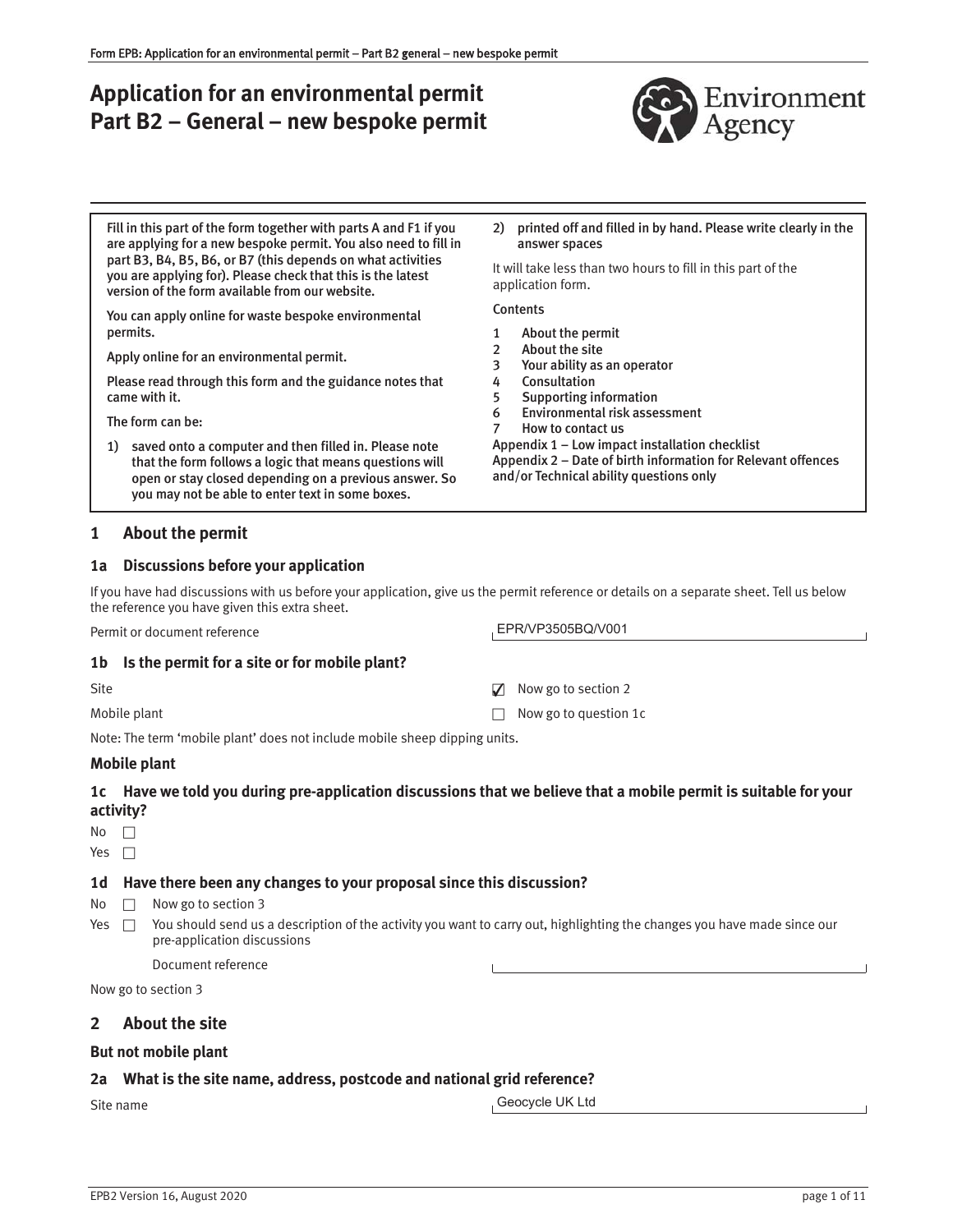# **Application for an environmental permit Part B2 – General – new bespoke permit**



Fill in this part of the form together with parts A and F1 if you are applying for a new bespoke permit. You also need to fill in part B3, B4, B5, B6, or B7 (this depends on what activities you are applying for). Please check that this is the latest version of the form available from our website.

You can apply online for waste bespoke environmental permits.

Apply online for an environmental permit.

Please read through this form and the guidance notes that came with it.

The form can be:

1) saved onto a computer and then filled in. Please note that the form follows a logic that means questions will open or stay closed depending on a previous answer. So you may not be able to enter text in some boxes.

## **1 About the permit**

#### **1a Discussions before your application**

If you have had discussions with us before your application, give us the permit reference or details on a separate sheet. Tell us below the reference you have given this extra sheet.

Permit or document reference

#### **1b Is the permit for a site or for mobile plant?**

| Site         | $\triangledown$ Now go to section 2 |
|--------------|-------------------------------------|
| Mobile plant | $\Box$ Now go to question 1c        |

Note: The term 'mobile plant' does not include mobile sheep dipping units.

## **Mobile plant**

## **1c Have we told you during pre-application discussions that we believe that a mobile permit is suitable for your activity?**

No  $\Box$ 

Yes  $\Box$ 

## **1d Have there been any changes to your proposal since this discussion?**

 $No \Box$  Now go to section 3

Yes  $\Box$  You should send us a description of the activity you want to carry out, highlighting the changes you have made since our pre-application discussions

Document reference

Now go to section 3

## **2 About the site**

## **But not mobile plant**

## **2a What is the site name, address, postcode and national grid reference?**

Site name

Geocycle UK Ltd

2) printed off and filled in by hand. Please write clearly in the answer spaces

It will take less than two hours to fill in this part of the application form.

#### **Contents**

- 1 About the permit
- 2 About the site
- 3 Your ability as an operator
- 4 Consultation
- 5 Supporting information
- 6 Environmental risk assessment 7 How to contact us

EPR/VP3505BQ/V001

Appendix 1 – Low impact installation checklist Appendix 2 – Date of birth information for Relevant offences and/or Technical ability questions only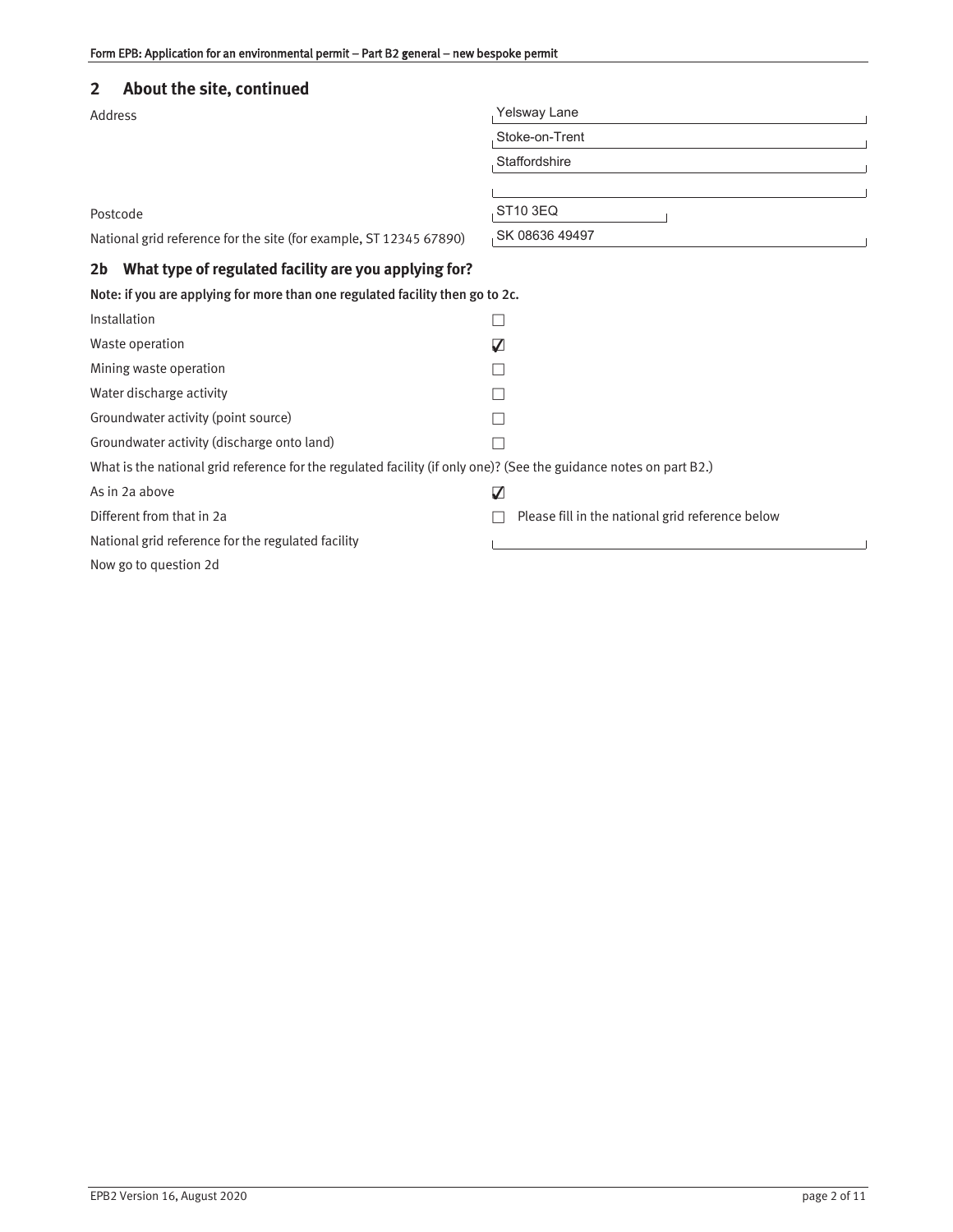## **2 About the site, continued**

| Address                                                                                                            | Yelsway Lane                                     |  |
|--------------------------------------------------------------------------------------------------------------------|--------------------------------------------------|--|
|                                                                                                                    | Stoke-on-Trent                                   |  |
|                                                                                                                    | Staffordshire                                    |  |
|                                                                                                                    |                                                  |  |
| Postcode                                                                                                           | ST10 3EQ                                         |  |
| National grid reference for the site (for example, ST 12345 67890)                                                 | SK 08636 49497                                   |  |
| What type of regulated facility are you applying for?<br>2 <sub>b</sub>                                            |                                                  |  |
| Note: if you are applying for more than one regulated facility then go to 2c.                                      |                                                  |  |
| Installation                                                                                                       |                                                  |  |
| Waste operation                                                                                                    | V                                                |  |
| Mining waste operation                                                                                             |                                                  |  |
| Water discharge activity                                                                                           |                                                  |  |
| Groundwater activity (point source)                                                                                |                                                  |  |
| Groundwater activity (discharge onto land)                                                                         |                                                  |  |
| What is the national grid reference for the regulated facility (if only one)? (See the guidance notes on part B2.) |                                                  |  |
| As in 2a above                                                                                                     | V                                                |  |
| Different from that in 2a                                                                                          | Please fill in the national grid reference below |  |
| National grid reference for the regulated facility                                                                 |                                                  |  |
| Now go to question 2d                                                                                              |                                                  |  |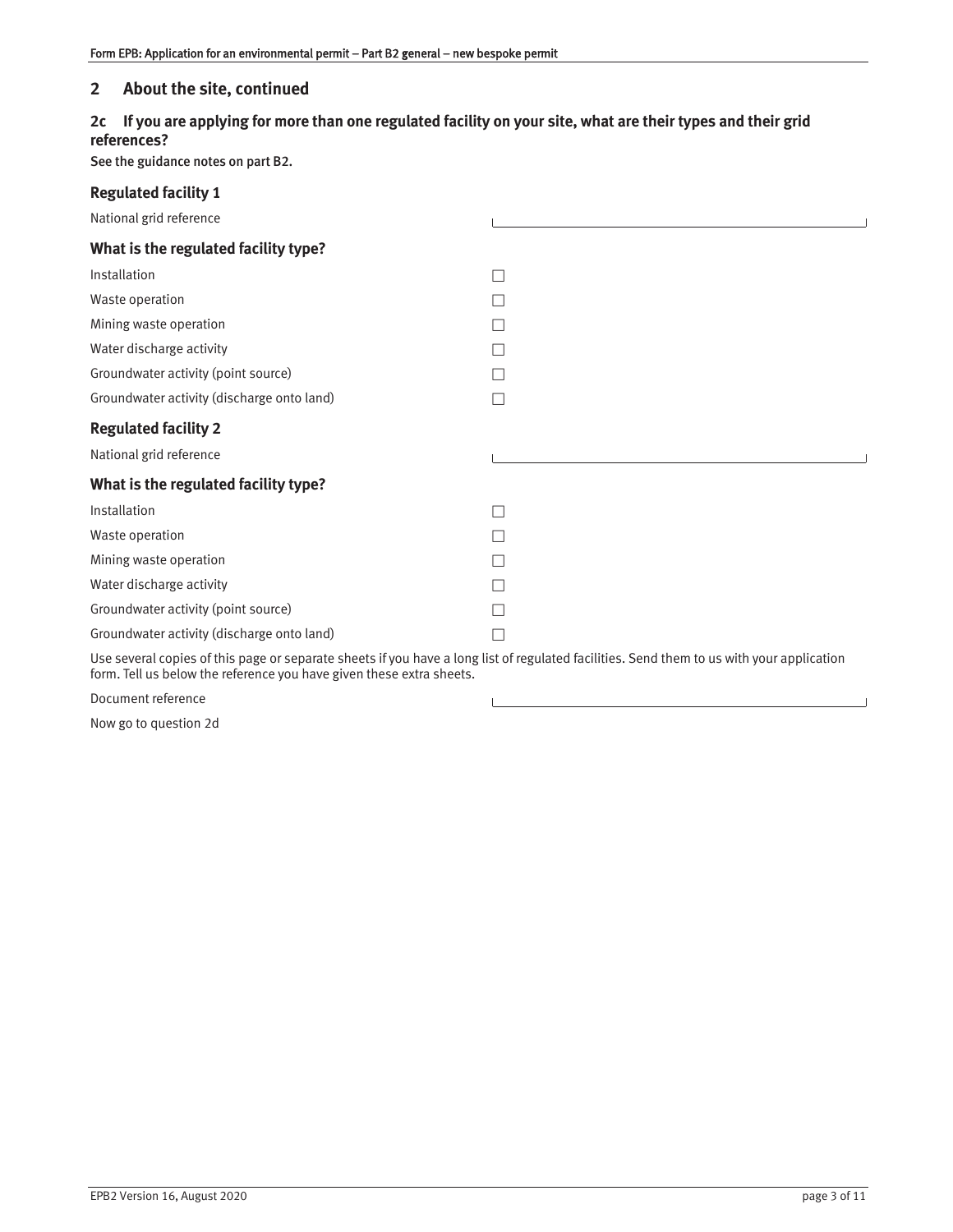## **2 About the site, continued**

## **2c If you are applying for more than one regulated facility on your site, what are their types and their grid references?**

See the guidance notes on part B2.

| <b>Regulated facility 1</b>                                                                                                                                                                                       |  |
|-------------------------------------------------------------------------------------------------------------------------------------------------------------------------------------------------------------------|--|
| National grid reference                                                                                                                                                                                           |  |
| What is the regulated facility type?                                                                                                                                                                              |  |
| Installation                                                                                                                                                                                                      |  |
| Waste operation                                                                                                                                                                                                   |  |
| Mining waste operation                                                                                                                                                                                            |  |
| Water discharge activity                                                                                                                                                                                          |  |
| Groundwater activity (point source)                                                                                                                                                                               |  |
| Groundwater activity (discharge onto land)                                                                                                                                                                        |  |
| <b>Regulated facility 2</b>                                                                                                                                                                                       |  |
| National grid reference                                                                                                                                                                                           |  |
| What is the regulated facility type?                                                                                                                                                                              |  |
| Installation                                                                                                                                                                                                      |  |
| Waste operation                                                                                                                                                                                                   |  |
| Mining waste operation                                                                                                                                                                                            |  |
| Water discharge activity                                                                                                                                                                                          |  |
| Groundwater activity (point source)                                                                                                                                                                               |  |
| Groundwater activity (discharge onto land)                                                                                                                                                                        |  |
| Use several copies of this page or separate sheets if you have a long list of regulated facilities. Send them to us with your application<br>form. Tell us below the reference you have given these extra sheets. |  |

 $\mathsf{L}$ 

Document reference

Now go to question 2d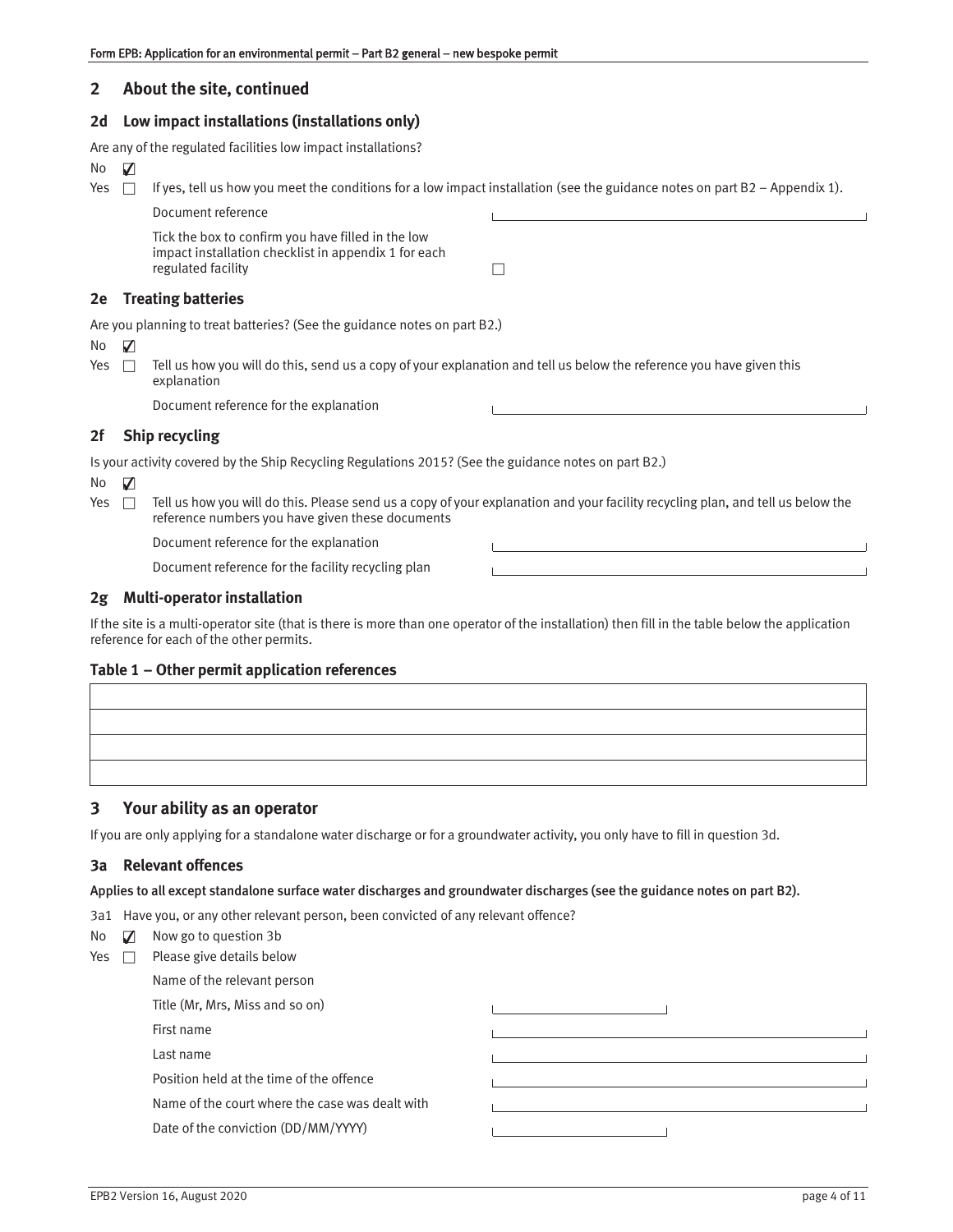## **2 About the site, continued**

#### **2d Low impact installations (installations only)**

|      |                                                                                                       | Are any of the regulated facilities low impact installations?                                                                                                                       |                                                                            |  |
|------|-------------------------------------------------------------------------------------------------------|-------------------------------------------------------------------------------------------------------------------------------------------------------------------------------------|----------------------------------------------------------------------------|--|
| No.  | V                                                                                                     |                                                                                                                                                                                     |                                                                            |  |
| Yes  | П                                                                                                     | If yes, tell us how you meet the conditions for a low impact installation (see the guidance notes on part B2 - Appendix 1).                                                         |                                                                            |  |
|      |                                                                                                       | Document reference                                                                                                                                                                  | the control of the control of the control of the control of the control of |  |
|      |                                                                                                       | Tick the box to confirm you have filled in the low<br>impact installation checklist in appendix 1 for each<br>regulated facility                                                    |                                                                            |  |
| 2e   |                                                                                                       | <b>Treating batteries</b>                                                                                                                                                           |                                                                            |  |
|      |                                                                                                       | Are you planning to treat batteries? (See the guidance notes on part B2.)                                                                                                           |                                                                            |  |
| No.  | V                                                                                                     |                                                                                                                                                                                     |                                                                            |  |
| Yes. |                                                                                                       | Tell us how you will do this, send us a copy of your explanation and tell us below the reference you have given this<br>explanation                                                 |                                                                            |  |
|      |                                                                                                       | Document reference for the explanation                                                                                                                                              |                                                                            |  |
| 2f   |                                                                                                       | <b>Ship recycling</b>                                                                                                                                                               |                                                                            |  |
|      | Is your activity covered by the Ship Recycling Regulations 2015? (See the guidance notes on part B2.) |                                                                                                                                                                                     |                                                                            |  |
| No.  | V                                                                                                     |                                                                                                                                                                                     |                                                                            |  |
| Yes. | $\Box$                                                                                                | Tell us how you will do this. Please send us a copy of your explanation and your facility recycling plan, and tell us below the<br>reference numbers you have given these documents |                                                                            |  |
|      |                                                                                                       | Document reference for the explanation                                                                                                                                              |                                                                            |  |
|      |                                                                                                       | Document reference for the facility recycling plan                                                                                                                                  |                                                                            |  |
| 2g   |                                                                                                       | <b>Multi-operator installation</b>                                                                                                                                                  |                                                                            |  |

If the site is a multi-operator site (that is there is more than one operator of the installation) then fill in the table below the application reference for each of the other permits.

## **Table 1 – Other permit application references**

## **3 Your ability as an operator**

If you are only applying for a standalone water discharge or for a groundwater activity, you only have to fill in question 3d.

## **3a Relevant offences**

#### Applies to all except standalone surface water discharges and groundwater discharges (see the guidance notes on part B2).

3a1 Have you, or any other relevant person, been convicted of any relevant offence?

| No $\blacksquare$ |  | Now go to question 3b |  |
|-------------------|--|-----------------------|--|
|                   |  |                       |  |

| Yes | Please give details below                       |  |
|-----|-------------------------------------------------|--|
|     | Name of the relevant person                     |  |
|     | Title (Mr, Mrs, Miss and so on)                 |  |
|     | First name                                      |  |
|     | Last name                                       |  |
|     | Position held at the time of the offence        |  |
|     | Name of the court where the case was dealt with |  |
|     | Date of the conviction (DD/MM/YYYY)             |  |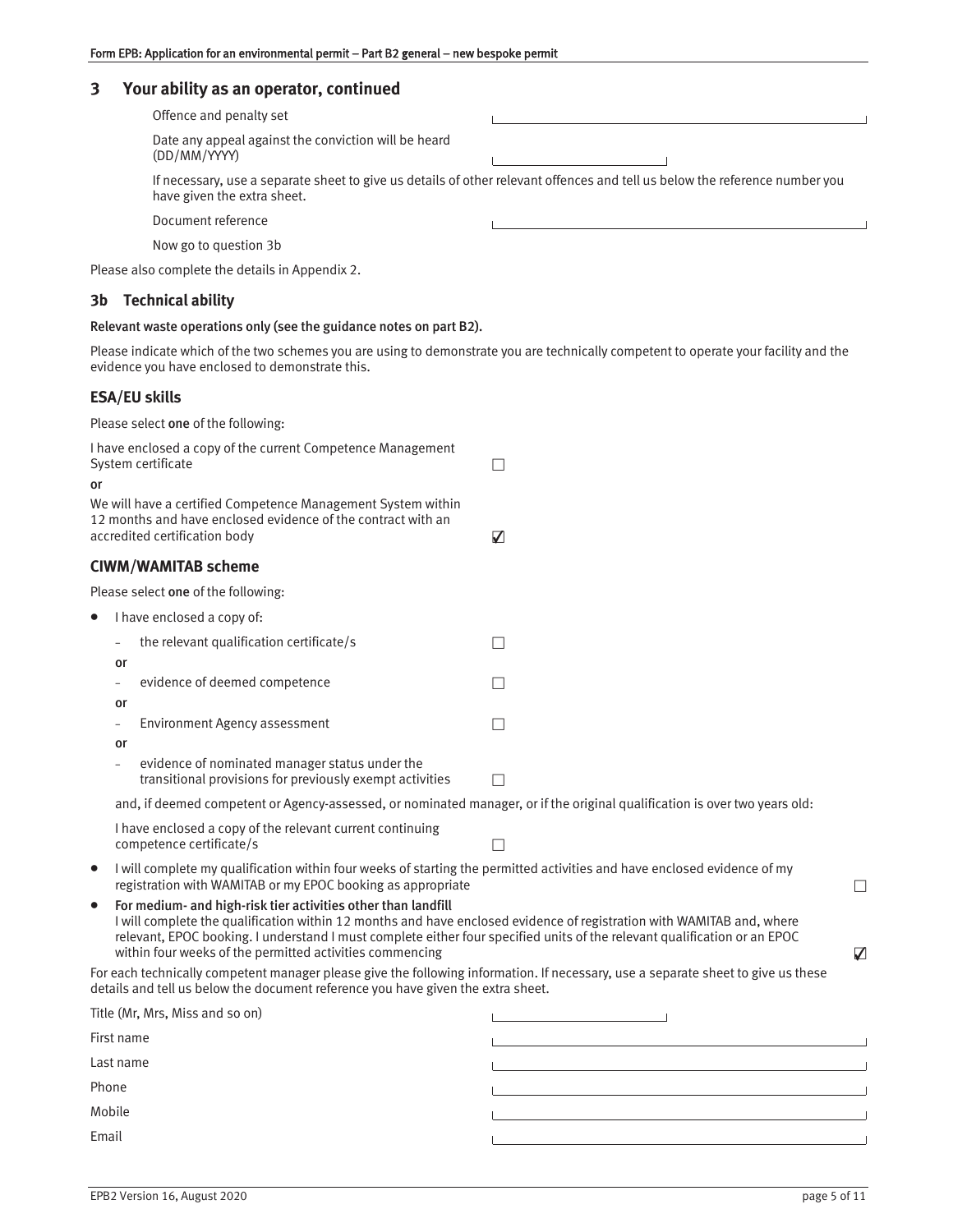## **3 Your ability as an operator, continued**

| Offence and penalty set                                                                                                                                    |  |
|------------------------------------------------------------------------------------------------------------------------------------------------------------|--|
| Date any appeal against the conviction will be heard<br>(DD/MM/YYYY)                                                                                       |  |
| If necessary, use a separate sheet to give us details of other relevant offences and tell us below the reference number you<br>have given the extra sheet. |  |
| Document reference                                                                                                                                         |  |
| Now go to question 3b                                                                                                                                      |  |

Please also complete the details in Appendix 2.

## **3b Technical ability**

## Relevant waste operations only (see the guidance notes on part B2).

Please indicate which of the two schemes you are using to demonstrate you are technically competent to operate your facility and the evidence you have enclosed to demonstrate this.

## **ESA/EU skills**

Please select one of the following:

| I have enclosed a copy of the current Competence Management<br>System certificate<br>or |                                                                                                                                                                                                                                                                                                                                                                                             |                                                                                           |        |
|-----------------------------------------------------------------------------------------|---------------------------------------------------------------------------------------------------------------------------------------------------------------------------------------------------------------------------------------------------------------------------------------------------------------------------------------------------------------------------------------------|-------------------------------------------------------------------------------------------|--------|
|                                                                                         | We will have a certified Competence Management System within<br>12 months and have enclosed evidence of the contract with an<br>accredited certification body                                                                                                                                                                                                                               | $\Delta$                                                                                  |        |
|                                                                                         | <b>CIWM/WAMITAB scheme</b>                                                                                                                                                                                                                                                                                                                                                                  |                                                                                           |        |
|                                                                                         | Please select one of the following:                                                                                                                                                                                                                                                                                                                                                         |                                                                                           |        |
|                                                                                         | I have enclosed a copy of:                                                                                                                                                                                                                                                                                                                                                                  |                                                                                           |        |
|                                                                                         | the relevant qualification certificate/s<br>or                                                                                                                                                                                                                                                                                                                                              |                                                                                           |        |
|                                                                                         | evidence of deemed competence<br>or                                                                                                                                                                                                                                                                                                                                                         |                                                                                           |        |
|                                                                                         | <b>Environment Agency assessment</b><br>÷,<br>or                                                                                                                                                                                                                                                                                                                                            |                                                                                           |        |
|                                                                                         | evidence of nominated manager status under the<br>transitional provisions for previously exempt activities                                                                                                                                                                                                                                                                                  |                                                                                           |        |
|                                                                                         | and, if deemed competent or Agency-assessed, or nominated manager, or if the original qualification is over two years old:                                                                                                                                                                                                                                                                  |                                                                                           |        |
|                                                                                         | I have enclosed a copy of the relevant current continuing<br>competence certificate/s                                                                                                                                                                                                                                                                                                       | П                                                                                         |        |
| $\bullet$                                                                               | I will complete my qualification within four weeks of starting the permitted activities and have enclosed evidence of my<br>registration with WAMITAB or my EPOC booking as appropriate                                                                                                                                                                                                     |                                                                                           | $\Box$ |
| $\bullet$                                                                               | For medium- and high-risk tier activities other than landfill<br>I will complete the qualification within 12 months and have enclosed evidence of registration with WAMITAB and, where<br>relevant, EPOC booking. I understand I must complete either four specified units of the relevant qualification or an EPOC<br>within four weeks of the permitted activities commencing<br>$\Delta$ |                                                                                           |        |
|                                                                                         | For each technically competent manager please give the following information. If necessary, use a separate sheet to give us these<br>details and tell us below the document reference you have given the extra sheet.                                                                                                                                                                       |                                                                                           |        |
|                                                                                         | Title (Mr, Mrs, Miss and so on)                                                                                                                                                                                                                                                                                                                                                             | the control of the control of the con-                                                    |        |
|                                                                                         | First name                                                                                                                                                                                                                                                                                                                                                                                  | <u> 1980 - Johann Barn, amerikansk politiker (d. 1980)</u>                                |        |
| Last name                                                                               |                                                                                                                                                                                                                                                                                                                                                                                             | the control of the control of the control of the control of the control of the control of |        |
| Phone                                                                                   |                                                                                                                                                                                                                                                                                                                                                                                             |                                                                                           |        |
| Mobile                                                                                  |                                                                                                                                                                                                                                                                                                                                                                                             |                                                                                           |        |
| Email                                                                                   |                                                                                                                                                                                                                                                                                                                                                                                             |                                                                                           |        |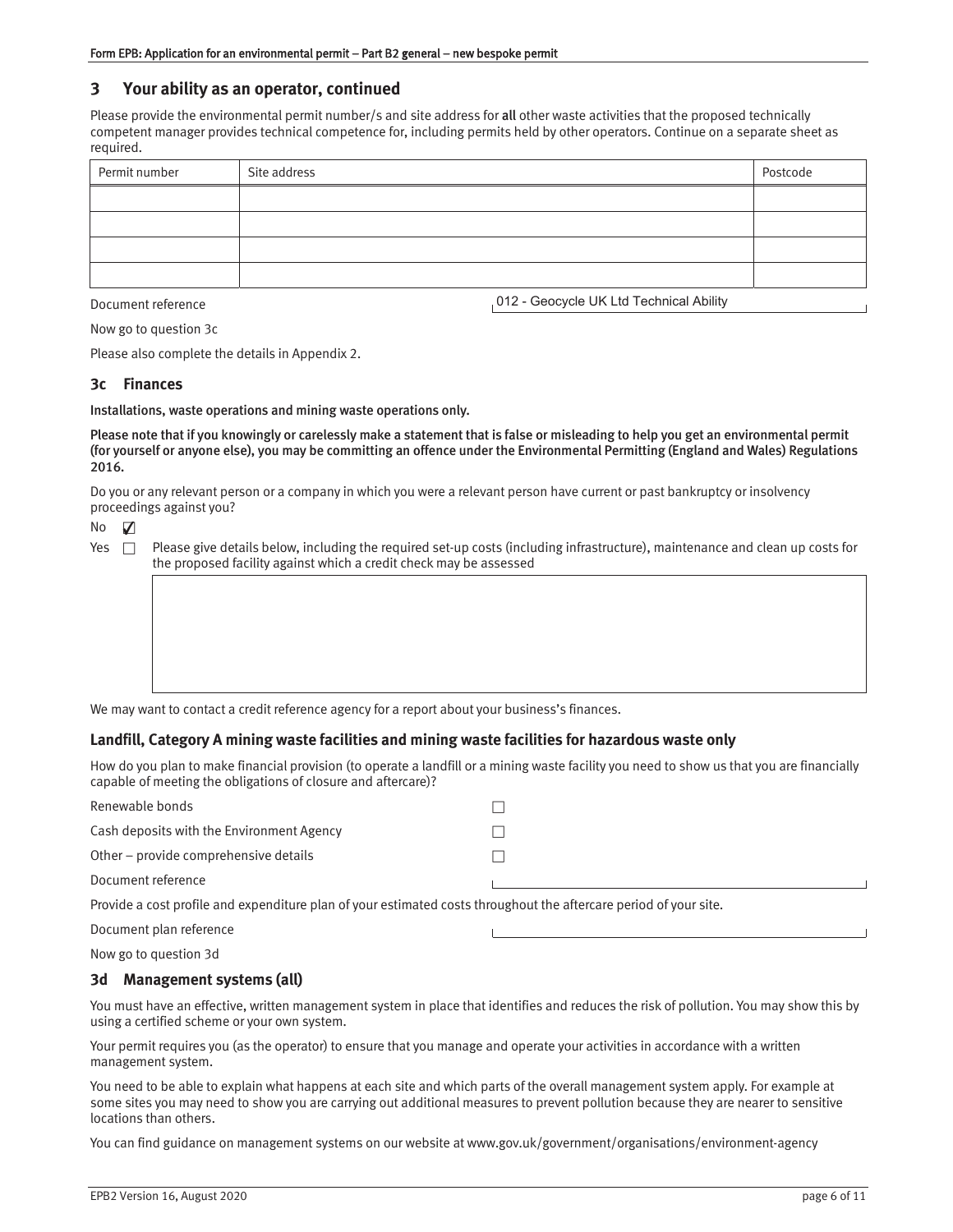## **3 Your ability as an operator, continued**

Please provide the environmental permit number/s and site address for all other waste activities that the proposed technically competent manager provides technical competence for, including permits held by other operators. Continue on a separate sheet as required.

| Permit number | Site address | Postcode |
|---------------|--------------|----------|
|               |              |          |
|               |              |          |
|               |              |          |
|               |              |          |

Document reference

012 - Geocycle UK Ltd Technical Ability

Now go to question 3c

Please also complete the details in Appendix 2.

#### **3c Finances**

Installations, waste operations and mining waste operations only.

Please note that if you knowingly or carelessly make a statement that is false or misleading to help you get an environmental permit (for yourself or anyone else), you may be committing an offence under the Environmental Permitting (England and Wales) Regulations 2016.

Do you or any relevant person or a company in which you were a relevant person have current or past bankruptcy or insolvency proceedings against you?

No ✔

| Yes ⊓ | Please give details below, including the required set-up costs (including infrastructure), maintenance and clean up costs for |
|-------|-------------------------------------------------------------------------------------------------------------------------------|
|       | the proposed facility against which a credit check may be assessed                                                            |

We may want to contact a credit reference agency for a report about your business's finances.

#### **Landfill, Category A mining waste facilities and mining waste facilities for hazardous waste only**

How do you plan to make financial provision (to operate a landfill or a mining waste facility you need to show us that you are financially capable of meeting the obligations of closure and aftercare)?

| Renewable bonds                                                                                                   |  |  |  |
|-------------------------------------------------------------------------------------------------------------------|--|--|--|
| Cash deposits with the Environment Agency                                                                         |  |  |  |
| Other – provide comprehensive details                                                                             |  |  |  |
| Document reference                                                                                                |  |  |  |
| Provide a cost profile and expenditure plan of your estimated costs throughout the aftercare period of your site. |  |  |  |
| Document plan reference                                                                                           |  |  |  |

Now go to question 3d

#### **3d Management systems (all)**

You must have an effective, written management system in place that identifies and reduces the risk of pollution. You may show this by using a certified scheme or your own system.

Your permit requires you (as the operator) to ensure that you manage and operate your activities in accordance with a written management system.

You need to be able to explain what happens at each site and which parts of the overall management system apply. For example at some sites you may need to show you are carrying out additional measures to prevent pollution because they are nearer to sensitive locations than others.

You can find guidance on management systems on our website at www.gov.uk/government/organisations/environment-agency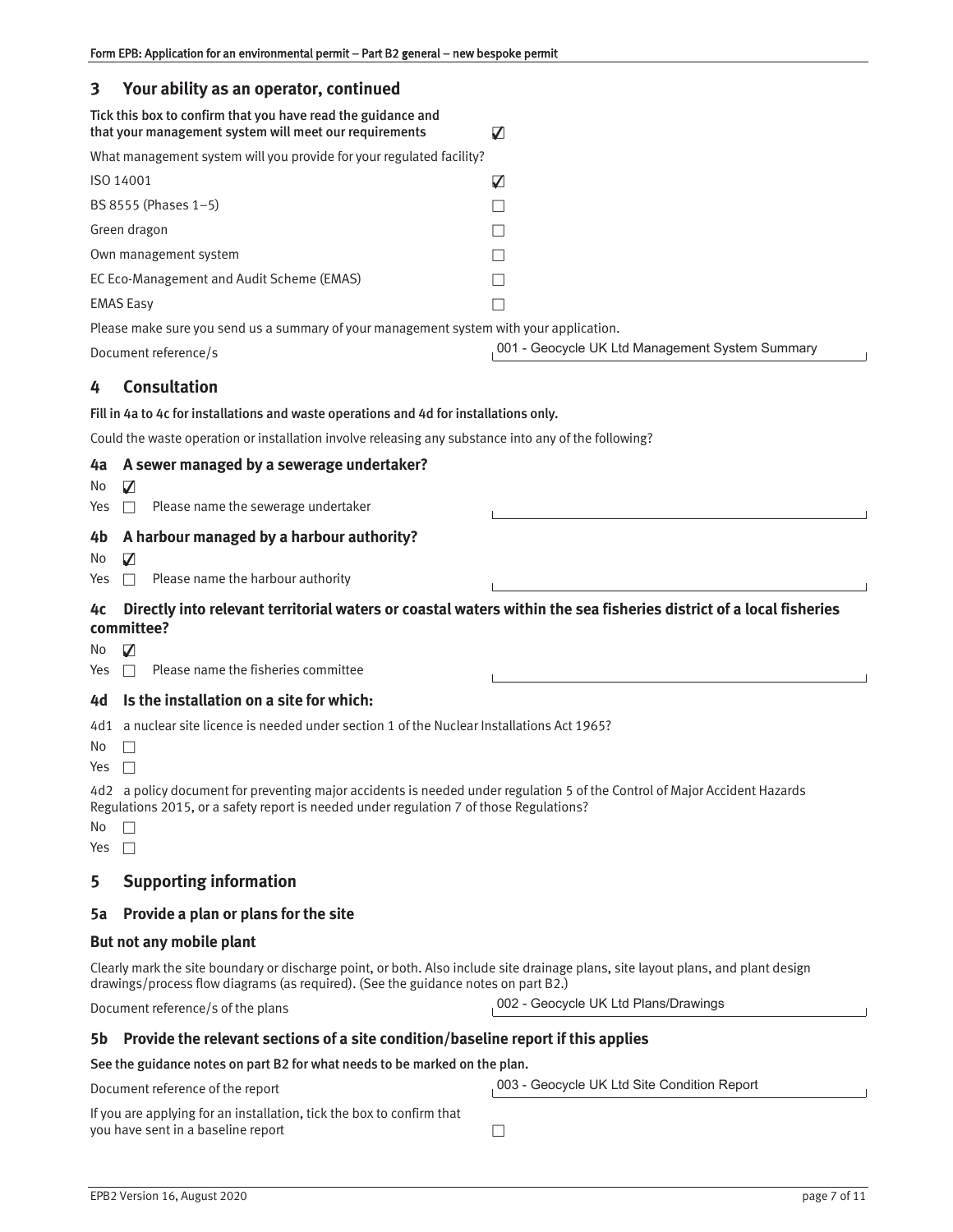| Form EPB: Application for an environmental permit - Part B2 general - new bespoke permit                               |                                                                                                                    |
|------------------------------------------------------------------------------------------------------------------------|--------------------------------------------------------------------------------------------------------------------|
| Your ability as an operator, continued<br>3                                                                            |                                                                                                                    |
| Tick this box to confirm that you have read the guidance and<br>that your management system will meet our requirements | ☑                                                                                                                  |
| What management system will you provide for your regulated facility?                                                   |                                                                                                                    |
| ISO 14001                                                                                                              | ☑                                                                                                                  |
| BS 8555 (Phases 1-5)                                                                                                   |                                                                                                                    |
| Green dragon                                                                                                           |                                                                                                                    |
| Own management system                                                                                                  |                                                                                                                    |
| EC Eco-Management and Audit Scheme (EMAS)                                                                              |                                                                                                                    |
| <b>EMAS Easy</b>                                                                                                       |                                                                                                                    |
| Please make sure you send us a summary of your management system with your application.                                |                                                                                                                    |
| Document reference/s                                                                                                   | 001 - Geocycle UK Ltd Management System Summary                                                                    |
| <b>Consultation</b><br>4                                                                                               |                                                                                                                    |
| Fill in 4a to 4c for installations and waste operations and 4d for installations only.                                 |                                                                                                                    |
| Could the waste operation or installation involve releasing any substance into any of the following?                   |                                                                                                                    |
| A sewer managed by a sewerage undertaker?<br>4a                                                                        |                                                                                                                    |
| 7<br>No.                                                                                                               |                                                                                                                    |
| Please name the sewerage undertaker<br>Yes<br>П                                                                        |                                                                                                                    |
| A harbour managed by a harbour authority?<br>4b                                                                        |                                                                                                                    |
| 7<br>No.                                                                                                               |                                                                                                                    |
| Please name the harbour authority<br>Yes<br>П                                                                          |                                                                                                                    |
| 4c<br>committee?                                                                                                       | Directly into relevant territorial waters or coastal waters within the sea fisheries district of a local fisheries |
| ☑<br>N0<br>Please name the fisheries committee<br>Yes                                                                  |                                                                                                                    |
| Is the installation on a site for which:<br>4d                                                                         |                                                                                                                    |
| a nuclear site licence is needed under section 1 of the Nuclear Installations Act 1965?<br>4d1<br>No.<br>Yes<br>$\Box$ |                                                                                                                    |

4d2 a policy document for preventing major accidents is needed under regulation 5 of the Control of Major Accident Hazards Regulations 2015, or a safety report is needed under regulation 7 of those Regulations?

| × |  |
|---|--|
|   |  |

Yes  $\square$ 

## **5 Supporting information**

#### **5a Provide a plan or plans for the site**

## **But not any mobile plant**

Clearly mark the site boundary or discharge point, or both. Also include site drainage plans, site layout plans, and plant design drawings/process flow diagrams (as required). (See the guidance notes on part B2.)

Document reference/s of the plans

002 - Geocycle UK Ltd Plans/Drawings

#### **5b Provide the relevant sections of a site condition/baseline report if this applies**

#### See the guidance notes on part B2 for what needs to be marked on the plan.

Document reference of the report

003 - Geocycle UK Ltd Site Condition Report

| If you are applying for an installation, tick the box to confirm that |  |
|-----------------------------------------------------------------------|--|
| you have sent in a baseline report                                    |  |

 $\overline{\phantom{a}}$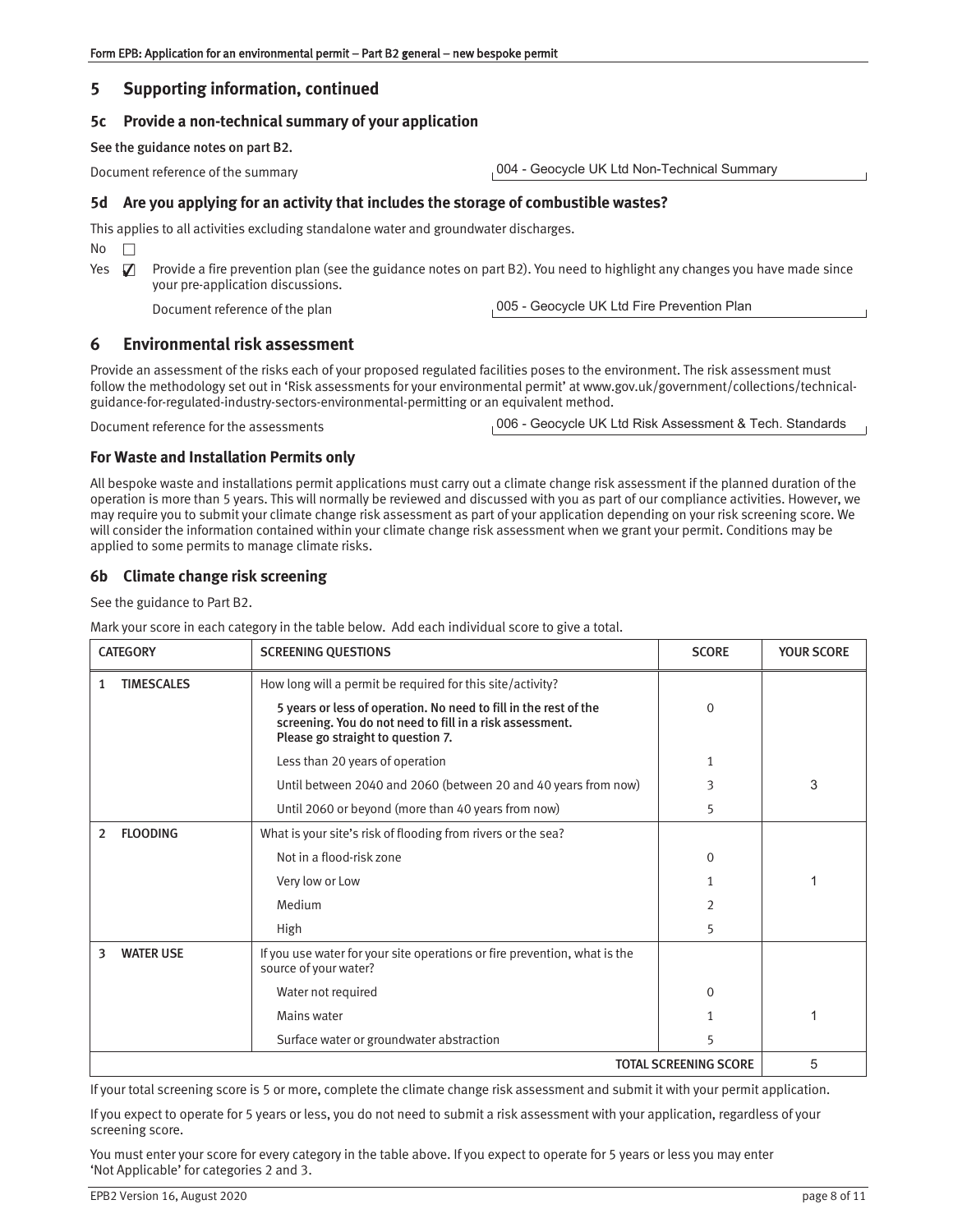## **5 Supporting information, continued**

### **5c Provide a nontechnical summary of your application**

See the guidance notes on part B2.

Document reference of the summary

004 - Geocycle UK Ltd Non-Technical Summary

### **5d Are you applying for an activity that includes the storage of combustible wastes?**

This applies to all activities excluding standalone water and groundwater discharges.

 $No$   $\Box$ 

Yes  $\Box$  Provide a fire prevention plan (see the guidance notes on part B2). You need to highlight any changes you have made since your pre-application discussions. ✔

Document reference of the plan

005 - Geocycle UK Ltd Fire Prevention Plan

## **6 Environmental risk assessment**

Provide an assessment of the risks each of your proposed regulated facilities poses to the environment. The risk assessment must follow the methodology set out in 'Risk assessments for your environmental permit' at www.gov.uk/government/collections/technicalguidance-for-regulated-industry-sectors-environmental-permitting or an equivalent method.

Document reference for the assessments

006 - Geocycle UK Ltd Risk Assessment & Tech. Standards

#### **For Waste and Installation Permits only**

All bespoke waste and installations permit applications must carry out a climate change risk assessment if the planned duration of the operation is more than 5 years. This will normally be reviewed and discussed with you as part of our compliance activities. However, we may require you to submit your climate change risk assessment as part of your application depending on your risk screening score. We will consider the information contained within your climate change risk assessment when we grant your permit. Conditions may be applied to some permits to manage climate risks.

## **6b Climate change risk screening**

See the guidance to Part B2.

Mark your score in each category in the table below. Add each individual score to give a total.

|                              | <b>CATEGORY</b>   | <b>SCREENING QUESTIONS</b>                                                                                                                                                                                                      | <b>SCORE</b>   | <b>YOUR SCORE</b> |
|------------------------------|-------------------|---------------------------------------------------------------------------------------------------------------------------------------------------------------------------------------------------------------------------------|----------------|-------------------|
| 1                            | <b>TIMESCALES</b> | How long will a permit be required for this site/activity?<br>5 years or less of operation. No need to fill in the rest of the<br>screening. You do not need to fill in a risk assessment.<br>Please go straight to question 7. | $\Omega$       |                   |
|                              |                   | Less than 20 years of operation                                                                                                                                                                                                 | 1              |                   |
|                              |                   | Until between 2040 and 2060 (between 20 and 40 years from now)                                                                                                                                                                  | 3              | 3                 |
|                              |                   | Until 2060 or beyond (more than 40 years from now)                                                                                                                                                                              | 5              |                   |
| 2                            | <b>FLOODING</b>   | What is your site's risk of flooding from rivers or the sea?                                                                                                                                                                    |                |                   |
|                              |                   | Not in a flood-risk zone                                                                                                                                                                                                        | 0              |                   |
|                              |                   | Very low or Low                                                                                                                                                                                                                 |                |                   |
|                              |                   | Medium                                                                                                                                                                                                                          | $\mathfrak{D}$ |                   |
|                              |                   | High                                                                                                                                                                                                                            | 5              |                   |
| 3                            | <b>WATER USE</b>  | If you use water for your site operations or fire prevention, what is the<br>source of your water?                                                                                                                              |                |                   |
|                              |                   | Water not required                                                                                                                                                                                                              | $\Omega$       |                   |
|                              |                   | Mains water                                                                                                                                                                                                                     |                | 1                 |
|                              |                   | Surface water or groundwater abstraction                                                                                                                                                                                        | 5              |                   |
| <b>TOTAL SCREENING SCORE</b> |                   |                                                                                                                                                                                                                                 |                | 5                 |

If your total screening score is 5 or more, complete the climate change risk assessment and submit it with your permit application.

If you expect to operate for 5 years or less, you do not need to submit a risk assessment with your application, regardless of your screening score.

You must enter your score for every category in the table above. If you expect to operate for 5 years or less you may enter 'Not Applicable' for categories 2 and 3.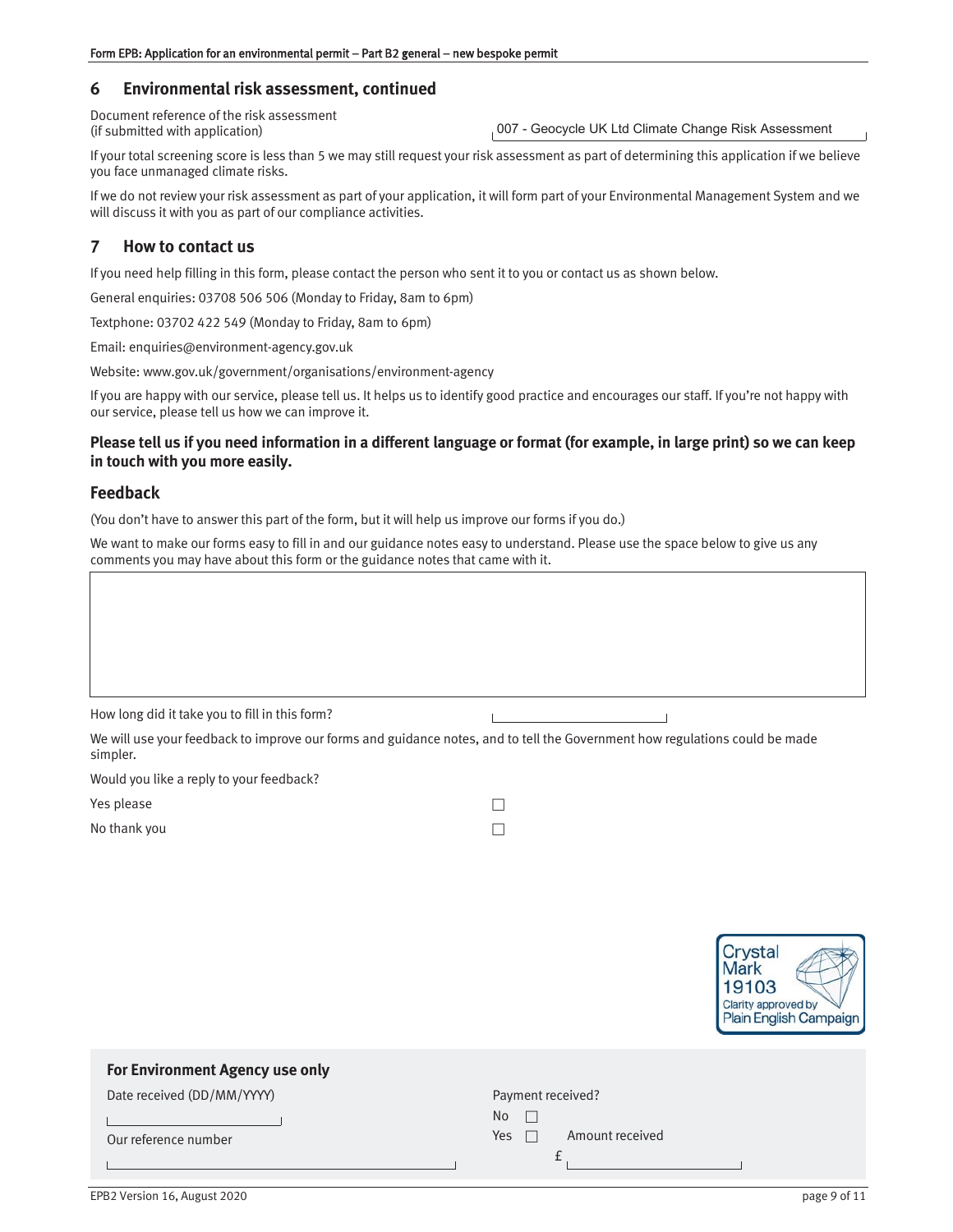## **6 Environmental risk assessment, continued**

Document reference of the risk assessment (if submitted with application)

007 - Geocycle UK Ltd Climate Change Risk Assessment

If your total screening score is less than 5 we may still request your risk assessment as part of determining this application if we believe you face unmanaged climate risks.

If we do not review your risk assessment as part of your application, it will form part of your Environmental Management System and we will discuss it with you as part of our compliance activities.

## **7 How to contact us**

If you need help filling in this form, please contact the person who sent it to you or contact us as shown below.

General enquiries: 03708 506 506 (Monday to Friday, 8am to 6pm)

Textphone: 03702 422 549 (Monday to Friday, 8am to 6pm)

Email: enquiries@environment-agency.gov.uk

Website: www.gov.uk/government/organisations/environment-agency

If you are happy with our service, please tell us. It helps us to identify good practice and encourages our staff. If you're not happy with our service, please tell us how we can improve it.

### **Please tell us if you need information in a different language or format (for example, in large print) so we can keep in touch with you more easily.**

## **Feedback**

(You don't have to answer this part of the form, but it will help us improve our forms if you do.)

We want to make our forms easy to fill in and our guidance notes easy to understand. Please use the space below to give us any comments you may have about this form or the guidance notes that came with it.

How long did it take you to fill in this form?

We will use your feedback to improve our forms and guidance notes, and to tell the Government how regulations could be made simpler.

Would you like a reply to your feedback?

Yes please  $\Box$ 

No thank you  $\Box$ 

 $\overline{L}$ 



| For Environment Agency use only |                         |
|---------------------------------|-------------------------|
| Date received (DD/MM/YYYY)      | Payment received?       |
|                                 | No                      |
| Our reference number            | Amount received<br>Yes. |
|                                 |                         |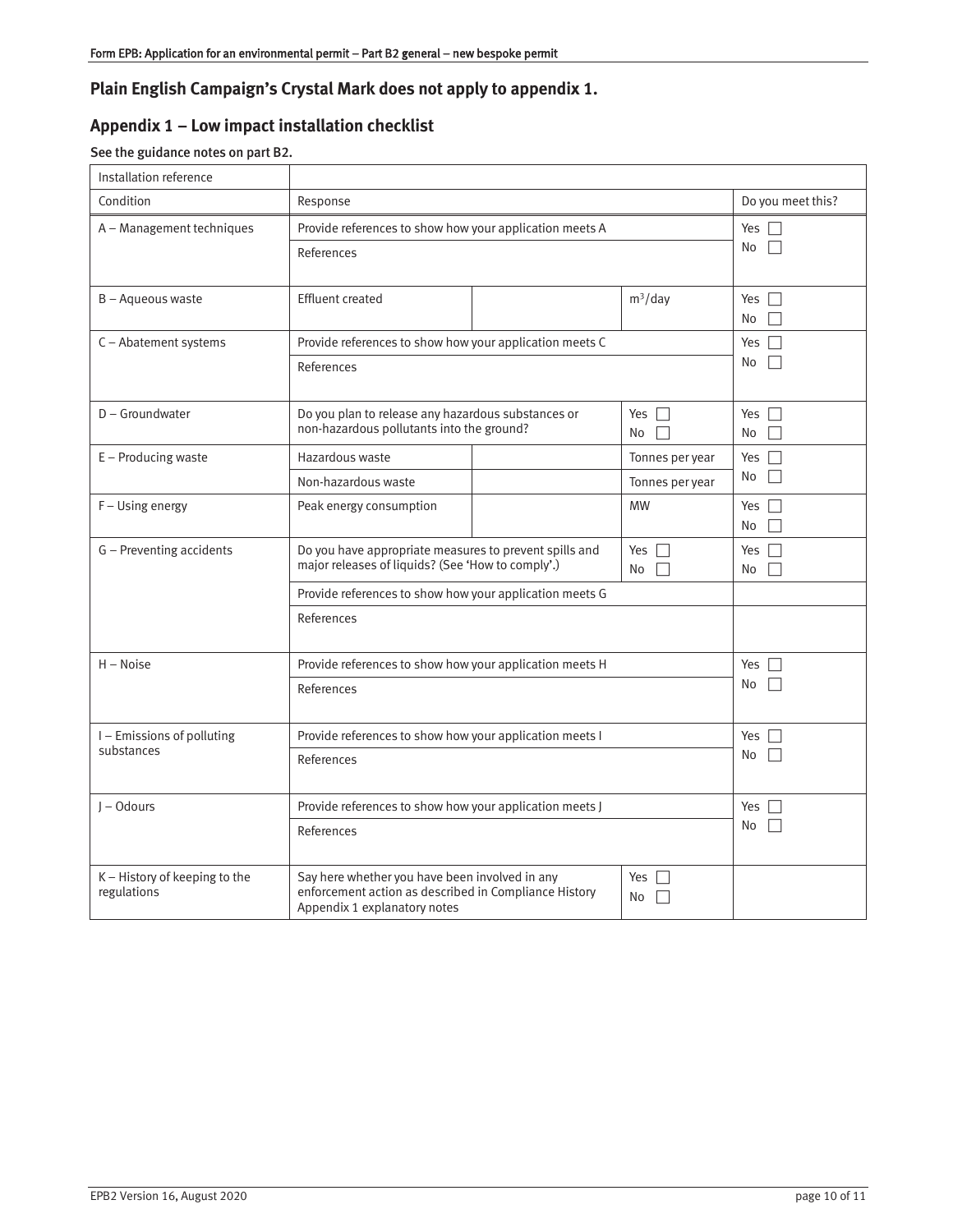## **Plain English Campaign's Crystal Mark does not apply to appendix 1.**

# **Appendix 1 – Low impact installation checklist**

# See the guidance notes on part B2.

| Installation reference                       |                                                                                                                                                                        |                                                         |                                    |                     |
|----------------------------------------------|------------------------------------------------------------------------------------------------------------------------------------------------------------------------|---------------------------------------------------------|------------------------------------|---------------------|
| Condition                                    | Response                                                                                                                                                               |                                                         |                                    | Do you meet this?   |
| A - Management techniques                    | References                                                                                                                                                             | Provide references to show how your application meets A |                                    | Yes $\Box$<br>No    |
| B - Aqueous waste                            | <b>Effluent created</b>                                                                                                                                                |                                                         | $m^3$ /day                         | Yes $\Gamma$<br>No  |
| C - Abatement systems                        | References                                                                                                                                                             | Provide references to show how your application meets C |                                    | Yes $\square$<br>No |
| $D - G$ roundwater                           | Do you plan to release any hazardous substances or<br>non-hazardous pollutants into the ground?                                                                        |                                                         | Yes $\Box$<br>$No \Box$            | Yes $\square$<br>No |
| E - Producing waste                          | Hazardous waste<br>Non-hazardous waste                                                                                                                                 |                                                         | Tonnes per year<br>Tonnes per year | Yes $\Box$<br>No    |
| F - Using energy                             | Peak energy consumption                                                                                                                                                |                                                         | <b>MW</b>                          | Yes $\Gamma$<br>No  |
| G - Preventing accidents                     | Do you have appropriate measures to prevent spills and<br>major releases of liquids? (See 'How to comply'.)<br>Provide references to show how your application meets G |                                                         | Yes $\Box$<br>No                   | Yes $\Box$<br>No    |
|                                              |                                                                                                                                                                        |                                                         |                                    |                     |
|                                              | References                                                                                                                                                             |                                                         |                                    |                     |
| $H - Noise$                                  |                                                                                                                                                                        | Provide references to show how your application meets H |                                    | Yes $\Box$          |
|                                              | References                                                                                                                                                             |                                                         |                                    | No                  |
| I-Emissions of polluting                     | Provide references to show how your application meets I                                                                                                                |                                                         |                                    | Yes $\Box$          |
| substances                                   | References                                                                                                                                                             |                                                         |                                    | No                  |
| $I - Odours$                                 | Provide references to show how your application meets J                                                                                                                |                                                         | Yes $\Box$                         |                     |
|                                              | References                                                                                                                                                             |                                                         |                                    | No                  |
| K - History of keeping to the<br>regulations | Say here whether you have been involved in any<br>enforcement action as described in Compliance History<br>Appendix 1 explanatory notes                                |                                                         | Yes $\Box$<br>No                   |                     |